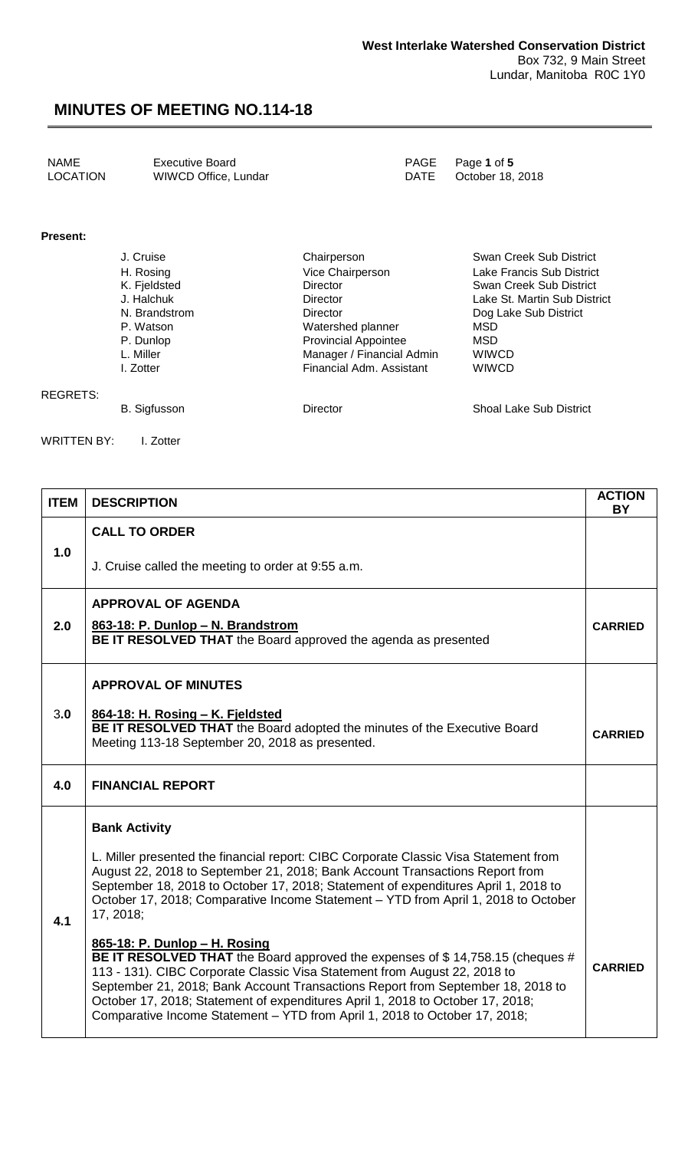| NAME            | <b>Executive Board</b> | PAGE Page 1 of 5      |
|-----------------|------------------------|-----------------------|
| <b>LOCATION</b> | WIWCD Office, Lundar   | DATE October 18, 2018 |

#### **Present:**

| J. Cruise     | Chairperson                 | Swan Creek Sub District      |
|---------------|-----------------------------|------------------------------|
| H. Rosing     | Vice Chairperson            | Lake Francis Sub District    |
| K. Fjeldsted  | <b>Director</b>             | Swan Creek Sub District      |
| J. Halchuk    | Director                    | Lake St. Martin Sub District |
| N. Brandstrom | Director                    | Dog Lake Sub District        |
| P. Watson     | Watershed planner           | MSD                          |
| P. Dunlop     | <b>Provincial Appointee</b> | MSD                          |
| L. Miller     | Manager / Financial Admin   | <b>WIWCD</b>                 |
| I. Zotter     | Financial Adm. Assistant    | <b>WIWCD</b>                 |
|               |                             |                              |
|               |                             |                              |

#### REGRETS:

B. Sigfusson **Director** Director Shoal Lake Sub District

WRITTEN BY: I. Zotter

| <b>ITEM</b> | <b>DESCRIPTION</b>                                                                                                                                                                                                                                                                                                                                                                                                                             | <b>ACTION</b><br><b>BY</b> |
|-------------|------------------------------------------------------------------------------------------------------------------------------------------------------------------------------------------------------------------------------------------------------------------------------------------------------------------------------------------------------------------------------------------------------------------------------------------------|----------------------------|
| 1.0         | <b>CALL TO ORDER</b>                                                                                                                                                                                                                                                                                                                                                                                                                           |                            |
|             | J. Cruise called the meeting to order at 9:55 a.m.                                                                                                                                                                                                                                                                                                                                                                                             |                            |
|             | <b>APPROVAL OF AGENDA</b>                                                                                                                                                                                                                                                                                                                                                                                                                      |                            |
| 2.0         | 863-18: P. Dunlop - N. Brandstrom<br>BE IT RESOLVED THAT the Board approved the agenda as presented                                                                                                                                                                                                                                                                                                                                            | <b>CARRIED</b>             |
|             | <b>APPROVAL OF MINUTES</b>                                                                                                                                                                                                                                                                                                                                                                                                                     |                            |
| 3.0         | 864-18: H. Rosing - K. Fjeldsted<br>BE IT RESOLVED THAT the Board adopted the minutes of the Executive Board                                                                                                                                                                                                                                                                                                                                   |                            |
|             | Meeting 113-18 September 20, 2018 as presented.                                                                                                                                                                                                                                                                                                                                                                                                | <b>CARRIED</b>             |
| 4.0         | <b>FINANCIAL REPORT</b>                                                                                                                                                                                                                                                                                                                                                                                                                        |                            |
| 4.1         | <b>Bank Activity</b>                                                                                                                                                                                                                                                                                                                                                                                                                           |                            |
|             | L. Miller presented the financial report: CIBC Corporate Classic Visa Statement from<br>August 22, 2018 to September 21, 2018; Bank Account Transactions Report from<br>September 18, 2018 to October 17, 2018; Statement of expenditures April 1, 2018 to<br>October 17, 2018; Comparative Income Statement - YTD from April 1, 2018 to October<br>17, 2018;                                                                                  |                            |
|             | 865-18: P. Dunlop - H. Rosing<br>BE IT RESOLVED THAT the Board approved the expenses of \$14,758.15 (cheques #<br>113 - 131). CIBC Corporate Classic Visa Statement from August 22, 2018 to<br>September 21, 2018; Bank Account Transactions Report from September 18, 2018 to<br>October 17, 2018; Statement of expenditures April 1, 2018 to October 17, 2018;<br>Comparative Income Statement - YTD from April 1, 2018 to October 17, 2018; | <b>CARRIED</b>             |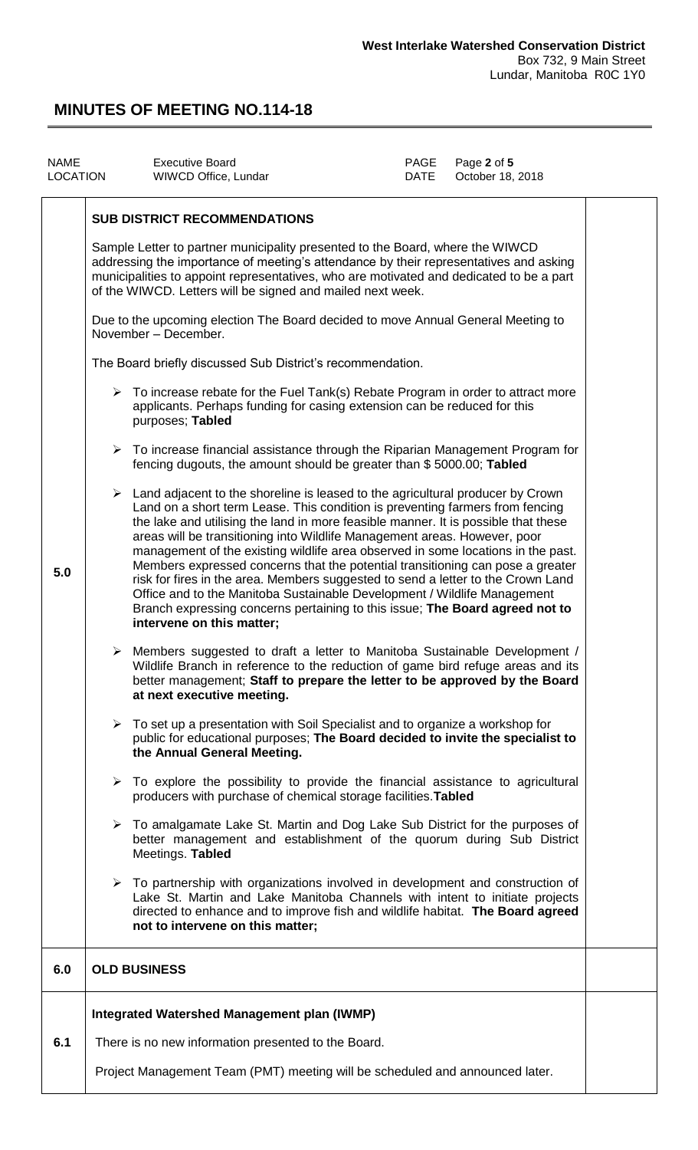| <b>NAME</b> | LOCATION                                                                                                                                                               | <b>Executive Board</b><br>WIWCD Office, Lundar                                                                                                                                                                                                                                                                                                                                                                                                                                                                                                                                                                                                                                                                                                                                                         | PAGE<br>DATE | Page 2 of 5<br>October 18, 2018 |  |
|-------------|------------------------------------------------------------------------------------------------------------------------------------------------------------------------|--------------------------------------------------------------------------------------------------------------------------------------------------------------------------------------------------------------------------------------------------------------------------------------------------------------------------------------------------------------------------------------------------------------------------------------------------------------------------------------------------------------------------------------------------------------------------------------------------------------------------------------------------------------------------------------------------------------------------------------------------------------------------------------------------------|--------------|---------------------------------|--|
|             |                                                                                                                                                                        | <b>SUB DISTRICT RECOMMENDATIONS</b>                                                                                                                                                                                                                                                                                                                                                                                                                                                                                                                                                                                                                                                                                                                                                                    |              |                                 |  |
|             |                                                                                                                                                                        | Sample Letter to partner municipality presented to the Board, where the WIWCD<br>addressing the importance of meeting's attendance by their representatives and asking<br>municipalities to appoint representatives, who are motivated and dedicated to be a part<br>of the WIWCD. Letters will be signed and mailed next week.                                                                                                                                                                                                                                                                                                                                                                                                                                                                        |              |                                 |  |
|             | Due to the upcoming election The Board decided to move Annual General Meeting to<br>November - December.<br>The Board briefly discussed Sub District's recommendation. |                                                                                                                                                                                                                                                                                                                                                                                                                                                                                                                                                                                                                                                                                                                                                                                                        |              |                                 |  |
|             |                                                                                                                                                                        |                                                                                                                                                                                                                                                                                                                                                                                                                                                                                                                                                                                                                                                                                                                                                                                                        |              |                                 |  |
|             |                                                                                                                                                                        | $\triangleright$ To increase rebate for the Fuel Tank(s) Rebate Program in order to attract more<br>applicants. Perhaps funding for casing extension can be reduced for this<br>purposes; Tabled                                                                                                                                                                                                                                                                                                                                                                                                                                                                                                                                                                                                       |              |                                 |  |
|             |                                                                                                                                                                        | $\triangleright$ To increase financial assistance through the Riparian Management Program for<br>fencing dugouts, the amount should be greater than \$5000.00; Tabled                                                                                                                                                                                                                                                                                                                                                                                                                                                                                                                                                                                                                                  |              |                                 |  |
| 5.0         |                                                                                                                                                                        | $\triangleright$ Land adjacent to the shoreline is leased to the agricultural producer by Crown<br>Land on a short term Lease. This condition is preventing farmers from fencing<br>the lake and utilising the land in more feasible manner. It is possible that these<br>areas will be transitioning into Wildlife Management areas. However, poor<br>management of the existing wildlife area observed in some locations in the past.<br>Members expressed concerns that the potential transitioning can pose a greater<br>risk for fires in the area. Members suggested to send a letter to the Crown Land<br>Office and to the Manitoba Sustainable Development / Wildlife Management<br>Branch expressing concerns pertaining to this issue; The Board agreed not to<br>intervene on this matter; |              |                                 |  |
|             |                                                                                                                                                                        | > Members suggested to draft a letter to Manitoba Sustainable Development /<br>Wildlife Branch in reference to the reduction of game bird refuge areas and its<br>better management; Staff to prepare the letter to be approved by the Board<br>at next executive meeting.                                                                                                                                                                                                                                                                                                                                                                                                                                                                                                                             |              |                                 |  |
|             |                                                                                                                                                                        | $\triangleright$ To set up a presentation with Soil Specialist and to organize a workshop for<br>public for educational purposes; The Board decided to invite the specialist to<br>the Annual General Meeting.                                                                                                                                                                                                                                                                                                                                                                                                                                                                                                                                                                                         |              |                                 |  |
|             |                                                                                                                                                                        | $\triangleright$ To explore the possibility to provide the financial assistance to agricultural<br>producers with purchase of chemical storage facilities. Tabled                                                                                                                                                                                                                                                                                                                                                                                                                                                                                                                                                                                                                                      |              |                                 |  |
|             |                                                                                                                                                                        | $\triangleright$ To amalgamate Lake St. Martin and Dog Lake Sub District for the purposes of<br>better management and establishment of the quorum during Sub District<br>Meetings. Tabled                                                                                                                                                                                                                                                                                                                                                                                                                                                                                                                                                                                                              |              |                                 |  |
|             |                                                                                                                                                                        | $\triangleright$ To partnership with organizations involved in development and construction of<br>Lake St. Martin and Lake Manitoba Channels with intent to initiate projects<br>directed to enhance and to improve fish and wildlife habitat. The Board agreed<br>not to intervene on this matter;                                                                                                                                                                                                                                                                                                                                                                                                                                                                                                    |              |                                 |  |
| 6.0         |                                                                                                                                                                        | <b>OLD BUSINESS</b>                                                                                                                                                                                                                                                                                                                                                                                                                                                                                                                                                                                                                                                                                                                                                                                    |              |                                 |  |
|             |                                                                                                                                                                        | <b>Integrated Watershed Management plan (IWMP)</b>                                                                                                                                                                                                                                                                                                                                                                                                                                                                                                                                                                                                                                                                                                                                                     |              |                                 |  |
| 6.1         |                                                                                                                                                                        | There is no new information presented to the Board.                                                                                                                                                                                                                                                                                                                                                                                                                                                                                                                                                                                                                                                                                                                                                    |              |                                 |  |
|             |                                                                                                                                                                        | Project Management Team (PMT) meeting will be scheduled and announced later.                                                                                                                                                                                                                                                                                                                                                                                                                                                                                                                                                                                                                                                                                                                           |              |                                 |  |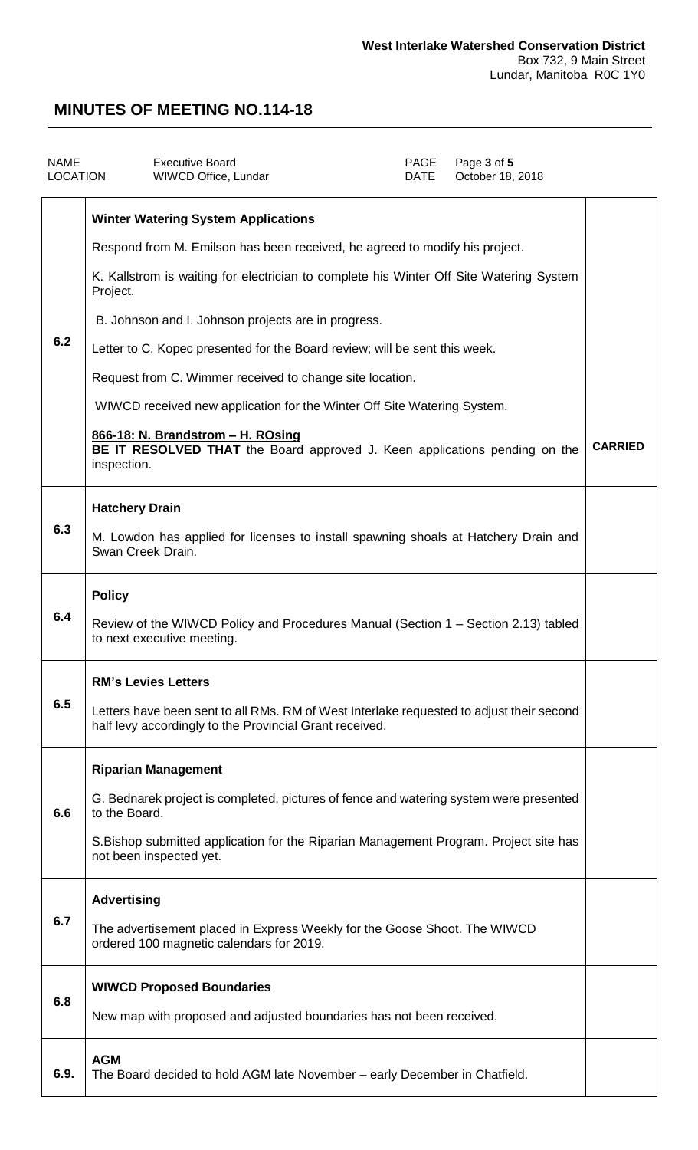| <b>NAME</b><br>LOCATION | <b>Executive Board</b><br>WIWCD Office, Lundar                                                                                                      | PAGE<br><b>DATE</b> | Page 3 of 5<br>October 18, 2018 |                |
|-------------------------|-----------------------------------------------------------------------------------------------------------------------------------------------------|---------------------|---------------------------------|----------------|
|                         | <b>Winter Watering System Applications</b>                                                                                                          |                     |                                 |                |
| 6.2                     | Respond from M. Emilson has been received, he agreed to modify his project.                                                                         |                     |                                 |                |
|                         | K. Kallstrom is waiting for electrician to complete his Winter Off Site Watering System<br>Project.                                                 |                     |                                 |                |
|                         | B. Johnson and I. Johnson projects are in progress.                                                                                                 |                     |                                 |                |
|                         | Letter to C. Kopec presented for the Board review; will be sent this week.                                                                          |                     |                                 |                |
|                         | Request from C. Wimmer received to change site location.                                                                                            |                     |                                 |                |
|                         | WIWCD received new application for the Winter Off Site Watering System.                                                                             |                     |                                 |                |
|                         | 866-18: N. Brandstrom - H. ROsing<br>BE IT RESOLVED THAT the Board approved J. Keen applications pending on the<br>inspection.                      |                     |                                 | <b>CARRIED</b> |
|                         | <b>Hatchery Drain</b>                                                                                                                               |                     |                                 |                |
| 6.3                     | M. Lowdon has applied for licenses to install spawning shoals at Hatchery Drain and<br>Swan Creek Drain.                                            |                     |                                 |                |
|                         | <b>Policy</b>                                                                                                                                       |                     |                                 |                |
| 6.4                     | Review of the WIWCD Policy and Procedures Manual (Section 1 – Section 2.13) tabled<br>to next executive meeting.                                    |                     |                                 |                |
|                         | <b>RM's Levies Letters</b>                                                                                                                          |                     |                                 |                |
| 6.5                     | Letters have been sent to all RMs. RM of West Interlake requested to adjust their second<br>half levy accordingly to the Provincial Grant received. |                     |                                 |                |
|                         | <b>Riparian Management</b>                                                                                                                          |                     |                                 |                |
| 6.6                     | G. Bednarek project is completed, pictures of fence and watering system were presented<br>to the Board.                                             |                     |                                 |                |
|                         | S. Bishop submitted application for the Riparian Management Program. Project site has<br>not been inspected yet.                                    |                     |                                 |                |
| 6.7                     | <b>Advertising</b>                                                                                                                                  |                     |                                 |                |
|                         | The advertisement placed in Express Weekly for the Goose Shoot. The WIWCD<br>ordered 100 magnetic calendars for 2019.                               |                     |                                 |                |
|                         | <b>WIWCD Proposed Boundaries</b>                                                                                                                    |                     |                                 |                |
| 6.8                     | New map with proposed and adjusted boundaries has not been received.                                                                                |                     |                                 |                |
| 6.9.                    | <b>AGM</b><br>The Board decided to hold AGM late November - early December in Chatfield.                                                            |                     |                                 |                |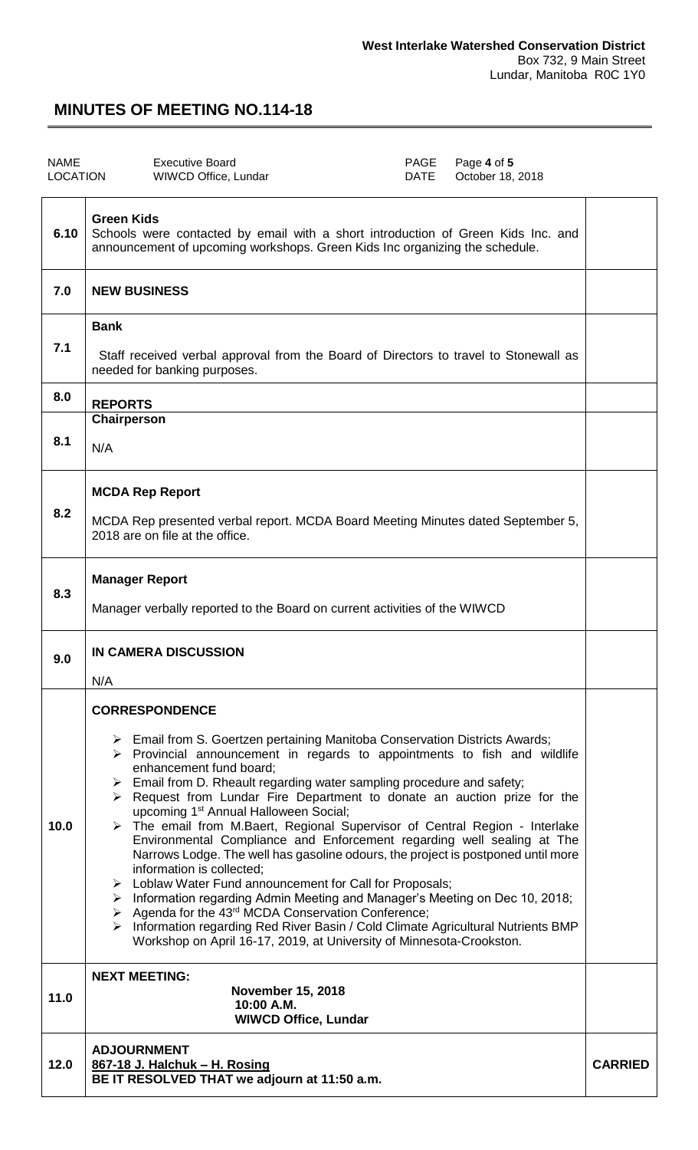| <b>NAME</b><br><b>LOCATION</b> | <b>Executive Board</b><br><b>PAGE</b><br>Page 4 of 5<br>October 18, 2018<br><b>WIWCD Office, Lundar</b><br><b>DATE</b>                                                                                                                                                                                                                                                                                                                                                                                                                                                                                                                                                                                                                                                                                                                                                                                                                                                                                                                                                                                                                |                |
|--------------------------------|---------------------------------------------------------------------------------------------------------------------------------------------------------------------------------------------------------------------------------------------------------------------------------------------------------------------------------------------------------------------------------------------------------------------------------------------------------------------------------------------------------------------------------------------------------------------------------------------------------------------------------------------------------------------------------------------------------------------------------------------------------------------------------------------------------------------------------------------------------------------------------------------------------------------------------------------------------------------------------------------------------------------------------------------------------------------------------------------------------------------------------------|----------------|
| 6.10                           | <b>Green Kids</b><br>Schools were contacted by email with a short introduction of Green Kids Inc. and<br>announcement of upcoming workshops. Green Kids Inc organizing the schedule.                                                                                                                                                                                                                                                                                                                                                                                                                                                                                                                                                                                                                                                                                                                                                                                                                                                                                                                                                  |                |
| 7.0                            | <b>NEW BUSINESS</b>                                                                                                                                                                                                                                                                                                                                                                                                                                                                                                                                                                                                                                                                                                                                                                                                                                                                                                                                                                                                                                                                                                                   |                |
| 7.1                            | <b>Bank</b><br>Staff received verbal approval from the Board of Directors to travel to Stonewall as<br>needed for banking purposes.                                                                                                                                                                                                                                                                                                                                                                                                                                                                                                                                                                                                                                                                                                                                                                                                                                                                                                                                                                                                   |                |
| 8.0                            | <b>REPORTS</b>                                                                                                                                                                                                                                                                                                                                                                                                                                                                                                                                                                                                                                                                                                                                                                                                                                                                                                                                                                                                                                                                                                                        |                |
| 8.1                            | Chairperson<br>N/A                                                                                                                                                                                                                                                                                                                                                                                                                                                                                                                                                                                                                                                                                                                                                                                                                                                                                                                                                                                                                                                                                                                    |                |
| 8.2                            | <b>MCDA Rep Report</b><br>MCDA Rep presented verbal report. MCDA Board Meeting Minutes dated September 5,<br>2018 are on file at the office.                                                                                                                                                                                                                                                                                                                                                                                                                                                                                                                                                                                                                                                                                                                                                                                                                                                                                                                                                                                          |                |
| 8.3                            | <b>Manager Report</b><br>Manager verbally reported to the Board on current activities of the WIWCD                                                                                                                                                                                                                                                                                                                                                                                                                                                                                                                                                                                                                                                                                                                                                                                                                                                                                                                                                                                                                                    |                |
| 9.0                            | <b>IN CAMERA DISCUSSION</b><br>N/A                                                                                                                                                                                                                                                                                                                                                                                                                                                                                                                                                                                                                                                                                                                                                                                                                                                                                                                                                                                                                                                                                                    |                |
| 10.0                           | <b>CORRESPONDENCE</b><br>Email from S. Goertzen pertaining Manitoba Conservation Districts Awards;<br>$\triangleright$ Provincial announcement in regards to appointments to fish and wildlife<br>enhancement fund board;<br>$\triangleright$ Email from D. Rheault regarding water sampling procedure and safety;<br>$\triangleright$ Request from Lundar Fire Department to donate an auction prize for the<br>upcoming 1 <sup>st</sup> Annual Halloween Social;<br>The email from M.Baert, Regional Supervisor of Central Region - Interlake<br>Environmental Compliance and Enforcement regarding well sealing at The<br>Narrows Lodge. The well has gasoline odours, the project is postponed until more<br>information is collected;<br>> Loblaw Water Fund announcement for Call for Proposals;<br>> Information regarding Admin Meeting and Manager's Meeting on Dec 10, 2018;<br>$\triangleright$ Agenda for the 43 <sup>rd</sup> MCDA Conservation Conference;<br>> Information regarding Red River Basin / Cold Climate Agricultural Nutrients BMP<br>Workshop on April 16-17, 2019, at University of Minnesota-Crookston. |                |
| 11.0                           | <b>NEXT MEETING:</b><br><b>November 15, 2018</b><br>10:00 A.M.<br><b>WIWCD Office, Lundar</b>                                                                                                                                                                                                                                                                                                                                                                                                                                                                                                                                                                                                                                                                                                                                                                                                                                                                                                                                                                                                                                         |                |
| 12.0                           | <b>ADJOURNMENT</b><br>867-18 J. Halchuk - H. Rosing<br>BE IT RESOLVED THAT we adjourn at 11:50 a.m.                                                                                                                                                                                                                                                                                                                                                                                                                                                                                                                                                                                                                                                                                                                                                                                                                                                                                                                                                                                                                                   | <b>CARRIED</b> |